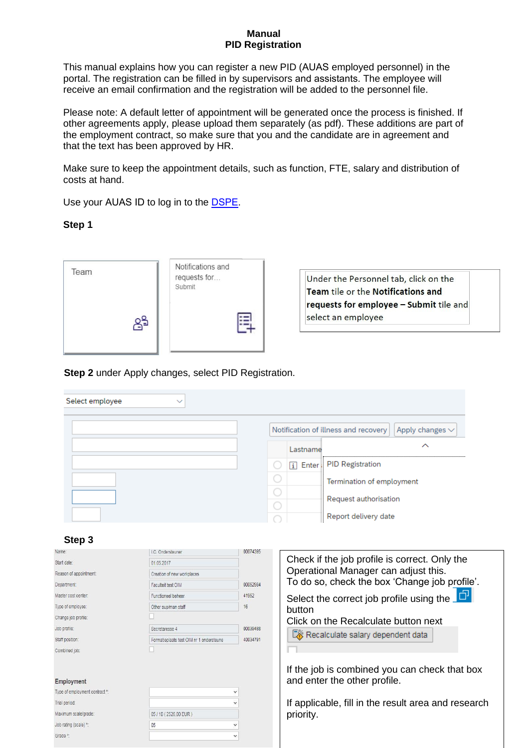#### **Manual PID Registration**

This manual explains how you can register a new PID (AUAS employed personnel) in the portal. The registration can be filled in by supervisors and assistants. The employee will receive an email confirmation and the registration will be added to the personnel file.

Please note: A default letter of appointment will be generated once the process is finished. If other agreements apply, please upload them separately (as pdf). These additions are part of the employment contract, so make sure that you and the candidate are in agreement and that the text has been approved by HR.

Make sure to keep the appointment details, such as function, FTE, salary and distribution of costs at hand.

Use your AUAS ID to log in to the [DSPE](file:///C:/Users/msaaije1/Desktop/zelfbediening.uva.nl).

**Step 1** 



## **Step 2** under Apply changes, select PID Registration.

| Select employee<br>$\checkmark$ |          |                                                              |
|---------------------------------|----------|--------------------------------------------------------------|
|                                 |          | Notification of illness and recovery<br>Apply changes $\vee$ |
|                                 | Lastname | ↗                                                            |
|                                 |          | [i] Enter, PID Registration                                  |
|                                 |          | Termination of employment                                    |
|                                 |          | Request authorisation                                        |
|                                 |          | Report delivery date                                         |

#### **Step 3**

| Name:                          | I.C. Ondersteuner                        | 00074395     | Check if the job profile is correct. Only the       |
|--------------------------------|------------------------------------------|--------------|-----------------------------------------------------|
| Start date:                    | 01.05.2017                               |              |                                                     |
| Reason of appointment:         | Creation of new workplaces               |              | Operational Manager can adjust this.                |
| Department:                    | Faculteit test OIM                       | 00052984     | To do so, check the box 'Change job profile'.       |
| Master cost center:            | Functioneel beheer                       | 41952        | Select the correct job profile using the $\Box$     |
| Type of employee:              | Other sup/man staff                      | 16           | button                                              |
| Change job profile:            |                                          |              | Click on the Recalculate button next                |
| Job profile:                   | Secretaresse 4                           | 00039488     |                                                     |
| Staff position:                | Formatieplaats test OIM nr 1 ondersteune | 40034791     | Recalculate salary dependent data                   |
| Combined job:                  |                                          |              |                                                     |
|                                |                                          |              |                                                     |
|                                |                                          |              | If the job is combined you can check that box       |
| <b>Employment</b>              |                                          |              | and enter the other profile.                        |
| Type of employment contract *: |                                          | $\checkmark$ |                                                     |
| Trial period:                  |                                          |              | If applicable, fill in the result area and research |
| Maximum scale/grade:           | 05 / 10 (2526.00 EUR)                    |              | priority.                                           |
| Job rating (scale) *:          | 05                                       |              |                                                     |
| Grade *:                       |                                          |              |                                                     |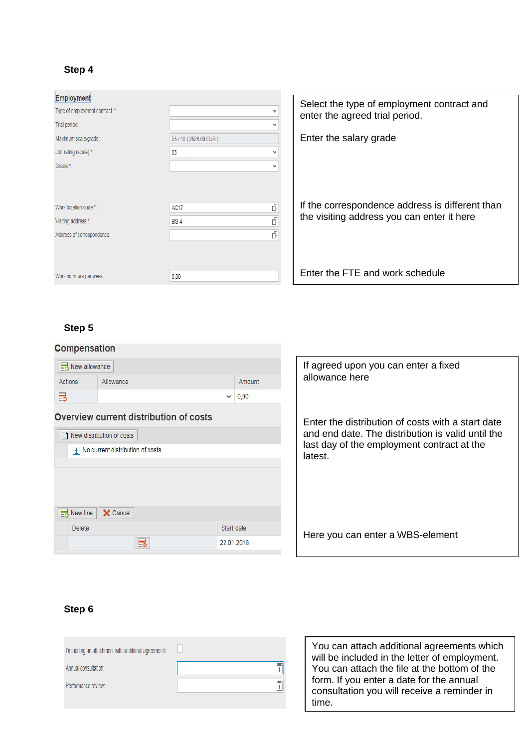## **Step 4**

| Employment                     |                       | Select the type of employment contract and      |  |
|--------------------------------|-----------------------|-------------------------------------------------|--|
| Type of employment contract *: | v                     | enter the agreed trial period.                  |  |
| Trial period:                  | v                     |                                                 |  |
| Maximum scale/grade:           | 05 / 10 (2526,00 EUR) | Enter the salary grade                          |  |
| Job rating (scale) *:          | 05                    |                                                 |  |
| Grade *:                       | v                     |                                                 |  |
|                                |                       | If the correspondence address is different than |  |
| Work location code *:          | F<br><b>AC17</b>      | the visiting address you can enter it here      |  |
| Visiting address *:            | Ā<br><b>BG4</b>       |                                                 |  |
| Address of correspondence:     | đ                     |                                                 |  |
| Working hours per week:        | 0,00                  | Enter the FTE and work schedule                 |  |
|                                |                       |                                                 |  |

# **Step 5**



# **Step 6**

| I'm adding an attachment with additional agreements: |  |
|------------------------------------------------------|--|
| Annual consultation:                                 |  |
| Performance review:                                  |  |
|                                                      |  |

You can attach additional agreements which will be included in the letter of employment. You can attach the file at the bottom of the form. If you enter a date for the annual consultation you will receive a reminder in time.